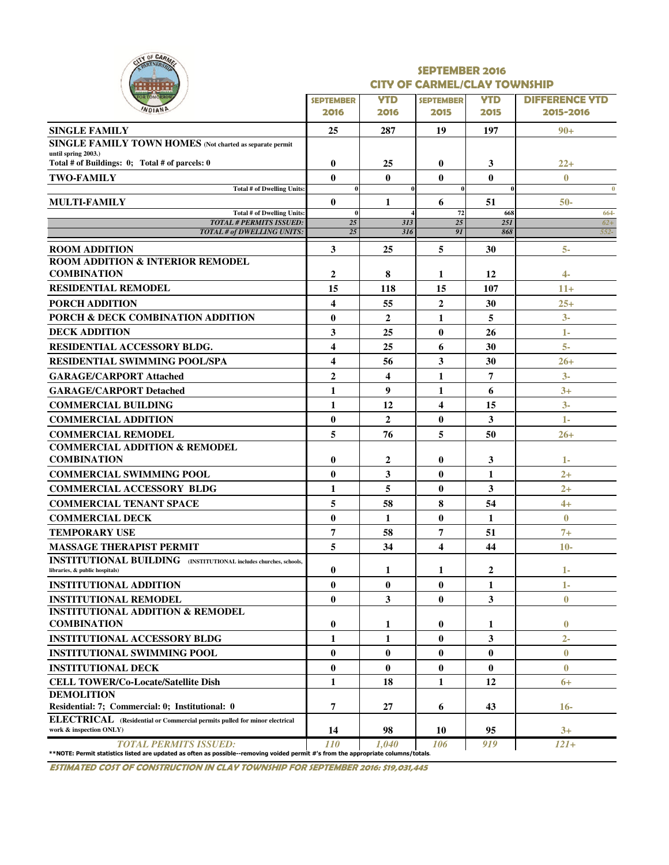|    |                          | OF CARMER |  |
|----|--------------------------|-----------|--|
|    |                          |           |  |
| a, | ш<br>٠<br><b>RTOMORE</b> | <b>TH</b> |  |

#### SEPTEMBER 2016 CITY OF CARMEL/CLAY TOWNSHIP

| .                                                                                                                                  |                          |                    |                          |                    |                                    |
|------------------------------------------------------------------------------------------------------------------------------------|--------------------------|--------------------|--------------------------|--------------------|------------------------------------|
| <b>OR TOMORKOY</b><br>WDIANP                                                                                                       | <b>SEPTEMBER</b><br>2016 | <b>YTD</b><br>2016 | <b>SEPTEMBER</b><br>2015 | <b>YTD</b><br>2015 | <b>DIFFERENCE YTD</b><br>2015-2016 |
| <b>SINGLE FAMILY</b>                                                                                                               | 25                       | 287                | 19                       | 197                | $90+$                              |
| <b>SINGLE FAMILY TOWN HOMES</b> (Not charted as separate permit                                                                    |                          |                    |                          |                    |                                    |
| until spring 2003.)                                                                                                                |                          |                    |                          |                    |                                    |
| Total # of Buildings: 0; Total # of parcels: 0                                                                                     | $\bf{0}$                 | 25                 | $\bf{0}$                 | 3                  | $22 +$                             |
| <b>TWO-FAMILY</b>                                                                                                                  | $\mathbf{0}$             | $\mathbf{0}$       | $\bf{0}$                 | $\mathbf{0}$       | $\mathbf{0}$                       |
| <b>Total # of Dwelling Units:</b>                                                                                                  | $\bf{0}$<br>$\mathbf{0}$ |                    | $\bf{0}$                 | $\theta$<br>51     | $\bf{0}$                           |
| <b>MULTI-FAMILY</b><br><b>Total # of Dwelling Units:</b>                                                                           | $\bf{0}$                 | 1                  | 6<br>72                  | 668                | $50-$<br>664-                      |
| <b>TOTAL # PERMITS ISSUED:</b>                                                                                                     | 25                       | 313                | $\overline{25}$          | 25I                | $62+$                              |
| <b>TOTAL # of DWELLING UNITS:</b>                                                                                                  | 25                       | 316                | 91                       | 868                | $552-$                             |
| <b>ROOM ADDITION</b>                                                                                                               | 3                        | 25                 | 5                        | 30                 | $5-$                               |
| <b>ROOM ADDITION &amp; INTERIOR REMODEL</b>                                                                                        |                          |                    |                          |                    |                                    |
| <b>COMBINATION</b>                                                                                                                 | 2                        | 8                  | 1                        | 12                 | 4-                                 |
| <b>RESIDENTIAL REMODEL</b>                                                                                                         | 15                       | 118                | 15                       | 107                | $11+$                              |
| <b>PORCH ADDITION</b>                                                                                                              | $\overline{\mathbf{4}}$  | 55                 | $\overline{2}$           | 30                 | $25+$                              |
| PORCH & DECK COMBINATION ADDITION                                                                                                  | $\bf{0}$                 | $\mathbf{2}$       | 1                        | 5                  | $3-$                               |
| <b>DECK ADDITION</b>                                                                                                               | 3                        | 25                 | $\bf{0}$                 | 26                 | 1-                                 |
| RESIDENTIAL ACCESSORY BLDG.                                                                                                        | 4                        | 25                 | 6                        | 30                 | $5-$                               |
| <b>RESIDENTIAL SWIMMING POOL/SPA</b>                                                                                               | 4                        | 56                 | 3                        | 30                 | $26 +$                             |
| <b>GARAGE/CARPORT Attached</b>                                                                                                     | $\overline{2}$           | 4                  | 1                        | 7                  | $3-$                               |
| <b>GARAGE/CARPORT Detached</b>                                                                                                     | 1                        | $\boldsymbol{9}$   | 1                        | 6                  | $3+$                               |
| <b>COMMERCIAL BUILDING</b>                                                                                                         | 1                        | 12                 | 4                        | 15                 | $3-$                               |
| <b>COMMERCIAL ADDITION</b>                                                                                                         | $\bf{0}$                 | $\mathbf{2}$       | $\bf{0}$                 | 3                  | 1-                                 |
| <b>COMMERCIAL REMODEL</b>                                                                                                          | 5                        | 76                 | 5                        | 50                 | $26 +$                             |
| <b>COMMERCIAL ADDITION &amp; REMODEL</b>                                                                                           |                          |                    |                          |                    |                                    |
| <b>COMBINATION</b>                                                                                                                 | $\bf{0}$                 | $\mathbf{2}$       | $\bf{0}$                 | 3                  | $1 -$                              |
| <b>COMMERCIAL SWIMMING POOL</b>                                                                                                    | $\mathbf{0}$             | 3                  | $\bf{0}$                 | 1                  | $2+$                               |
| <b>COMMERCIAL ACCESSORY BLDG</b>                                                                                                   | 1                        | 5                  | $\bf{0}$                 | 3                  | $2+$                               |
| <b>COMMERCIAL TENANT SPACE</b>                                                                                                     | 5                        | 58                 | 8                        | 54                 | $4+$                               |
| <b>COMMERCIAL DECK</b>                                                                                                             | $\bf{0}$                 | 1                  | $\bf{0}$                 | 1                  | $\bf{0}$                           |
| <b>TEMPORARY USE</b>                                                                                                               | 7                        | 58                 | 7                        | 51                 | $7+$                               |
| <b>MASSAGE THERAPIST PERMIT</b>                                                                                                    | 5                        | 34                 | $\overline{\mathbf{4}}$  | 44                 | $10-$                              |
| <b>INSTITUTIONAL BUILDING</b> (INSTITUTIONAL includes churches, schools,                                                           |                          |                    |                          |                    |                                    |
| libraries, & public hospitals)                                                                                                     | $\bf{0}$                 | 1                  | 1                        | $\mathbf{2}$       | 1-                                 |
| <b>INSTITUTIONAL ADDITION</b>                                                                                                      | $\bf{0}$                 | $\bf{0}$           | $\bf{0}$                 | 1                  | 1-                                 |
| <b>INSTITUTIONAL REMODEL</b>                                                                                                       | $\mathbf{0}$             | 3                  | $\bf{0}$                 | 3                  | $\bf{0}$                           |
| <b>INSTITUTIONAL ADDITION &amp; REMODEL</b>                                                                                        |                          |                    |                          |                    |                                    |
| <b>COMBINATION</b>                                                                                                                 | $\bf{0}$                 | 1                  | $\bf{0}$                 | 1                  | $\bf{0}$                           |
| <b>INSTITUTIONAL ACCESSORY BLDG</b>                                                                                                | 1                        | 1                  | $\bf{0}$                 | 3                  | $2 -$                              |
| <b>INSTITUTIONAL SWIMMING POOL</b>                                                                                                 | $\bf{0}$                 | $\bf{0}$           | $\bf{0}$                 | $\bf{0}$           | $\mathbf{0}$                       |
| <b>INSTITUTIONAL DECK</b>                                                                                                          | $\bf{0}$                 | $\bf{0}$           | $\bf{0}$                 | $\bf{0}$           | $\bf{0}$                           |
| <b>CELL TOWER/Co-Locate/Satellite Dish</b>                                                                                         | 1                        | 18                 | 1                        | 12                 | $6+$                               |
| <b>DEMOLITION</b>                                                                                                                  |                          |                    |                          |                    |                                    |
| Residential: 7; Commercial: 0; Institutional: 0                                                                                    | 7                        | 27                 | 6                        | 43                 | $16-$                              |
| ELECTRICAL (Residential or Commercial permits pulled for minor electrical<br>work & inspection ONLY)                               | 14                       | 98                 | 10                       | 95                 | $3+$                               |
| <b>TOTAL PERMITS ISSUED:</b>                                                                                                       | <i>110</i>               | 1.040              | 106                      | 919                | $121+$                             |
| **NOTE: Permit statistics listed are updated as often as possible--removing voided permit #'s from the appropriate columns/totals. |                          |                    |                          |                    |                                    |

ESTIMATED COST OF CONSTRUCTION IN CLAY TOWNSHIP FOR SEPTEMBER 2016: \$19,031,445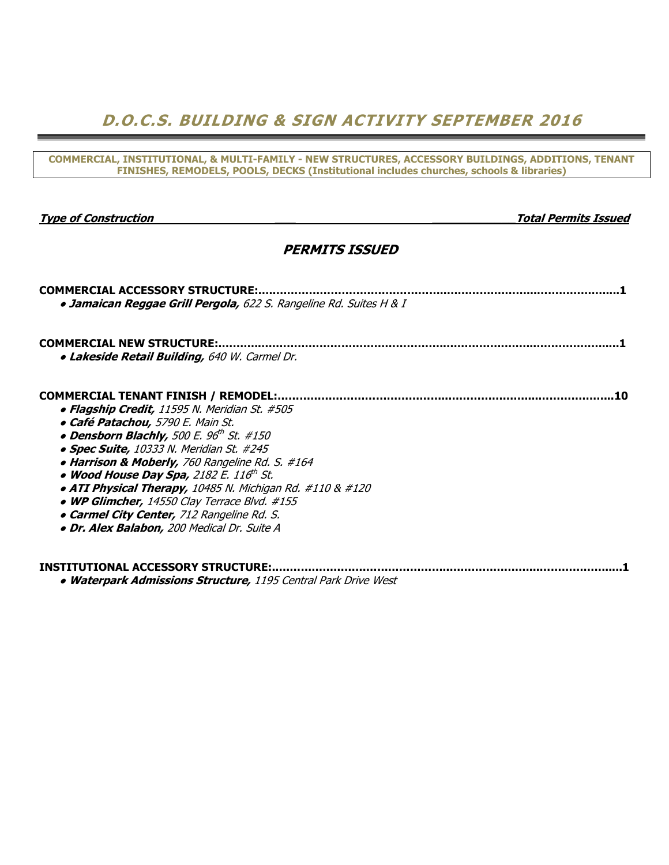D.O.C.S. BUILDING & SIGN ACTIVITY SEPTEMBER 2016

COMMERCIAL, INSTITUTIONAL, & MULTI-FAMILY - NEW STRUCTURES, ACCESSORY BUILDINGS, ADDITIONS, TENANT FINISHES, REMODELS, POOLS, DECKS (Institutional includes churches, schools & libraries)

Type of Construction **The Construction** and the construction of the construction of the construction of the construction of the construction of the construction of the construction of the construction of the construction o

## PERMITS ISSUED

| <b>COMMERCIAL ACCESSORY STRUCTURE:</b>                             |
|--------------------------------------------------------------------|
| · Jamaican Reggae Grill Pergola, 622 S. Rangeline Rd. Suites H & I |
|                                                                    |
| <b>COMMERCIAL NEW STRUCTURE:</b>                                   |
| · Lakeside Retail Building, 640 W. Carmel Dr.                      |
| <b>COMMERCIAL TENANT FINISH / REMODEL:</b>                         |
| • Flagship Credit, 11595 N. Meridian St. #505                      |
| • Café Patachou, 5790 E. Main St.                                  |
| • Densborn Blachly, 500 E. 96 <sup>th</sup> St. #150               |
|                                                                    |
| • Spec Suite, 10333 N. Meridian St. #245                           |
| • Harrison & Moberly, 760 Rangeline Rd. S. #164                    |
| • Wood House Day Spa, 2182 E. 116th St.                            |
| • ATI Physical Therapy, 10485 N. Michigan Rd. #110 & #120          |
| • WP Glimcher, 14550 Clay Terrace Blvd. #155                       |
| • Carmel City Center, 712 Rangeline Rd. S.                         |
| · Dr. Alex Balabon, 200 Medical Dr. Suite A                        |
|                                                                    |
| INSTITUTIONAL ACCESSORY STRUCTURE:                                 |
| Wetcomerly Admirators Churchine 1105 Central Dayle Duice West      |

• Waterpark Admissions Structure, 1195 Central Park Drive West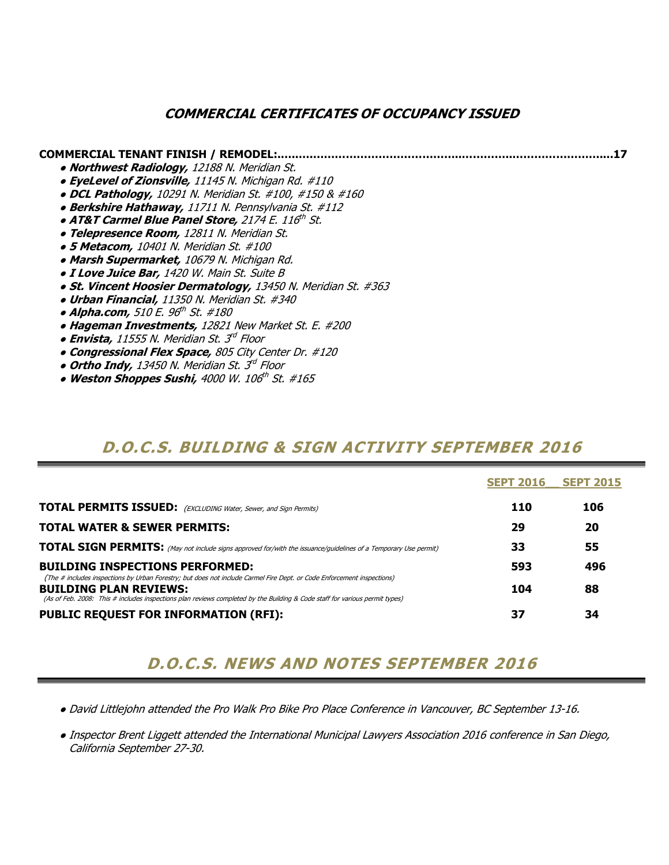## COMMERCIAL CERTIFICATES OF OCCUPANCY ISSUED

### COMMERCIAL TENANT FINISH / REMODEL:.…..….…………………………………..…………..……………………....17

- Northwest Radiology, 12188 N. Meridian St.
- EyeLevel of Zionsville, 11145 N. Michigan Rd. #110
- DCL Pathology, 10291 N. Meridian St. #100, #150 & #160
- Berkshire Hathaway, 11711 N. Pennsylvania St. #112
- $\bullet$  AT&T Carmel Blue Panel Store, 2174 E. 116 $^{th}$  St.
- Telepresence Room, 12811 N. Meridian St.
- 5 Metacom, 10401 N. Meridian St. #100
- Marsh Supermarket, 10679 N. Michigan Rd.
- **· I Love Juice Bar,** 1420 W. Main St. Suite B
- St. Vincent Hoosier Dermatology, 13450 N. Meridian St. #363
- Urban Financial, 11350 N. Meridian St. #340
- Alpha.com, 510 E. 96<sup>th</sup> St. #180
- Hageman Investments, 12821 New Market St. E. #200
- Envista, 11555 N. Meridian St. 3<sup>rd</sup> Floor
- Congressional Flex Space, 805 City Center Dr. #120
- $\bullet$  Ortho Indy, 13450 N. Meridian St. 3 $^{d}$  Floor
	- Weston Shoppes Sushi, 4000 W. 106th St. #165

## D.O.C.S. BUILDING & SIGN ACTIVITY SEPTEMBER 2016

|                                                                                                                                                                                                                                                                                        | <b>SEPT 2016 SEPT 2015</b> |     |
|----------------------------------------------------------------------------------------------------------------------------------------------------------------------------------------------------------------------------------------------------------------------------------------|----------------------------|-----|
| <b>TOTAL PERMITS ISSUED:</b> (EXCLUDING Water, Sewer, and Sign Permits)                                                                                                                                                                                                                | <b>110</b>                 | 106 |
| <b>TOTAL WATER &amp; SEWER PERMITS:</b>                                                                                                                                                                                                                                                | 29                         | 20  |
| <b>TOTAL SIGN PERMITS:</b> (May not include signs approved for/with the issuance/guidelines of a Temporary Use permit)                                                                                                                                                                 | 33                         | 55  |
| <b>BUILDING INSPECTIONS PERFORMED:</b>                                                                                                                                                                                                                                                 | 593                        | 496 |
| (The # includes inspections by Urban Forestry; but does not include Carmel Fire Dept. or Code Enforcement inspections)<br><b>BUILDING PLAN REVIEWS:</b><br>(As of Feb. 2008: This # includes inspections plan reviews completed by the Building & Code staff for various permit types) | 104                        | 88  |
| PUBLIC REQUEST FOR INFORMATION (RFI):                                                                                                                                                                                                                                                  | 37                         | 34  |

# D.O.C.S. NEWS AND NOTES SEPTEMBER 2016

- David Littlejohn attended the Pro Walk Pro Bike Pro Place Conference in Vancouver, BC September 13-16.
- Inspector Brent Liggett attended the International Municipal Lawyers Association 2016 conference in San Diego, California September 27-30.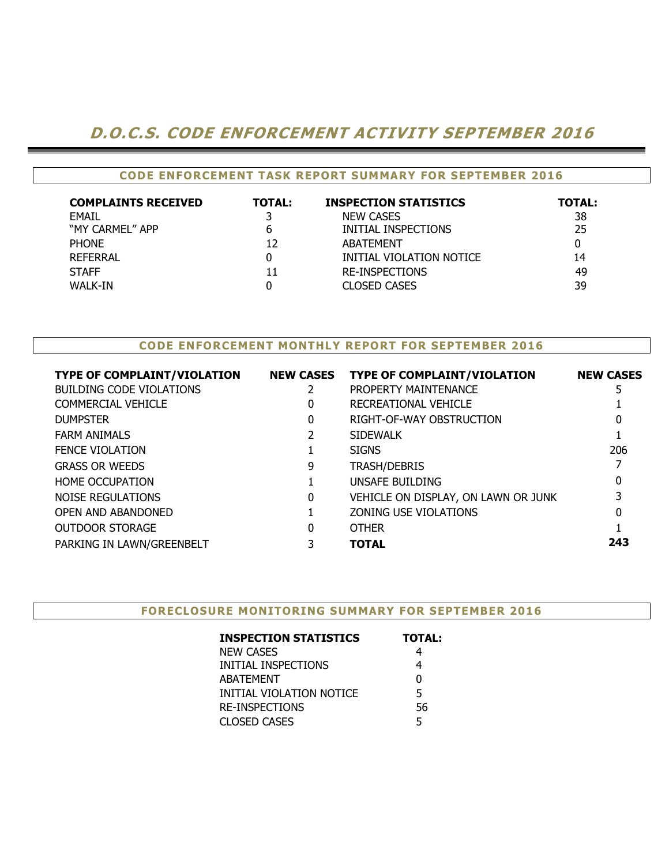# D.O.C.S. CODE ENFORCEMENT ACTIVITY SEPTEMBER 2016

## CODE ENFORCEMENT TASK REPORT SUMMARY FOR SEPTEMBER 2016

| <b>COMPLAINTS RECEIVED</b> | <b>TOTAL:</b> | <b>INSPECTION STATISTICS</b> | <b>TOTAL:</b> |
|----------------------------|---------------|------------------------------|---------------|
| <b>FMAIL</b>               |               | <b>NEW CASES</b>             | 38            |
| "MY CARMEL" APP            | 6             | INITIAL INSPECTIONS          | 25            |
| <b>PHONE</b>               | 12            | ABATEMENT                    |               |
| REFERRAL                   | 0             | INITIAL VIOLATION NOTICE     | 14            |
| <b>STAFF</b>               | 11            | <b>RE-INSPECTIONS</b>        | 49            |
| WALK-IN                    | 0             | <b>CLOSED CASES</b>          | 39            |

### CODE ENFORCEMENT MONTHLY REPORT FOR SEPTEMBER 2016

| <b>TYPE OF COMPLAINT/VIOLATION</b> | <b>NEW CASES</b> | <b>TYPE OF COMPLAINT/VIOLATION</b>  | <b>NEW CASES</b> |
|------------------------------------|------------------|-------------------------------------|------------------|
| <b>BUILDING CODE VIOLATIONS</b>    |                  | PROPERTY MAINTENANCE                |                  |
| COMMERCIAL VEHICLE                 | 0                | RECREATIONAL VEHICLE                |                  |
| <b>DUMPSTER</b>                    | 0                | RIGHT-OF-WAY OBSTRUCTION            |                  |
| <b>FARM ANIMALS</b>                |                  | <b>SIDEWALK</b>                     |                  |
| <b>FENCE VIOLATION</b>             |                  | <b>SIGNS</b>                        | 206              |
| <b>GRASS OR WEEDS</b>              | 9                | <b>TRASH/DEBRIS</b>                 |                  |
| <b>HOME OCCUPATION</b>             |                  | UNSAFE BUILDING                     |                  |
| NOISE REGULATIONS                  | 0                | VEHICLE ON DISPLAY, ON LAWN OR JUNK |                  |
| <b>OPEN AND ABANDONED</b>          |                  | <b>ZONING USE VIOLATIONS</b>        |                  |
| <b>OUTDOOR STORAGE</b>             | 0                | <b>OTHER</b>                        |                  |
| PARKING IN LAWN/GREENBELT          |                  | <b>TOTAL</b>                        | 243              |
|                                    |                  |                                     |                  |

### FORECLOSURE MONITORING SUMMARY FOR SEPTEMBER 2016

| <b>INSPECTION STATISTICS</b> | <b>TOTAL:</b> |
|------------------------------|---------------|
| <b>NEW CASES</b>             |               |
| INITIAL INSPECTIONS          | 4             |
| ABATEMENT                    | U             |
| INITIAL VIOLATION NOTICE     | 5             |
| RE-INSPECTIONS               | 56            |
| <b>CLOSED CASES</b>          | 5             |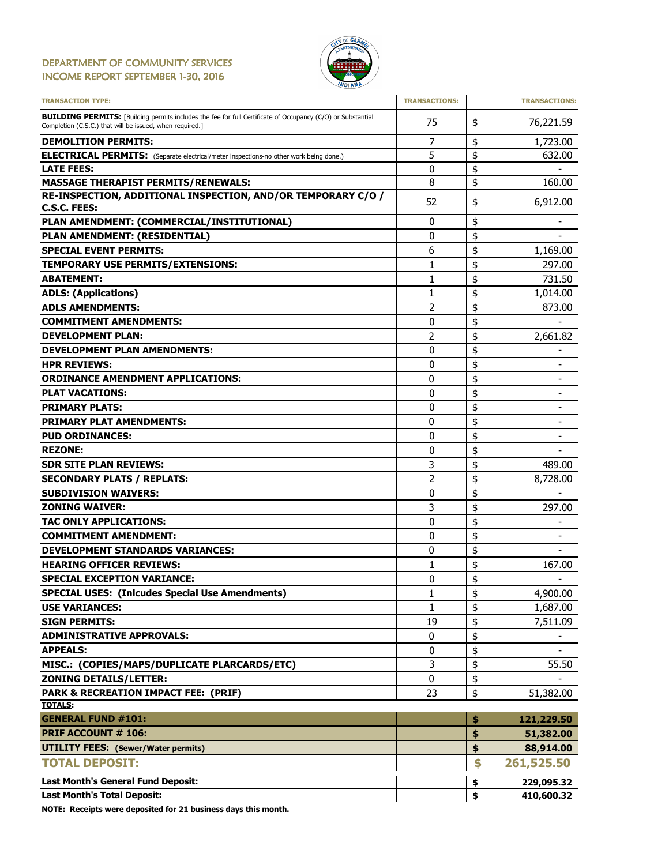### DEPARTMENT OF COMMUNITY SERVICES INCOME REPORT SEPTEMBER 1-30, 2016



| <b>TRANSACTION TYPE:</b>                                                                                                                                                       | <b>TRANSACTIONS:</b> |          | <b>TRANSACTIONS:</b>         |
|--------------------------------------------------------------------------------------------------------------------------------------------------------------------------------|----------------------|----------|------------------------------|
| <b>BUILDING PERMITS:</b> [Building permits includes the fee for full Certificate of Occupancy (C/O) or Substantial<br>Completion (C.S.C.) that will be issued, when required.] | 75                   | \$       | 76,221.59                    |
| <b>DEMOLITION PERMITS:</b>                                                                                                                                                     | 7                    | \$       | 1,723.00                     |
| <b>ELECTRICAL PERMITS:</b> (Separate electrical/meter inspections-no other work being done.)                                                                                   | 5                    | \$       | 632.00                       |
| <b>LATE FEES:</b>                                                                                                                                                              | 0                    | \$       |                              |
| <b>MASSAGE THERAPIST PERMITS/RENEWALS:</b>                                                                                                                                     | 8                    | \$       | 160.00                       |
| RE-INSPECTION, ADDITIONAL INSPECTION, AND/OR TEMPORARY C/O /<br><b>C.S.C. FEES:</b>                                                                                            | 52                   | \$       | 6,912.00                     |
| PLAN AMENDMENT: (COMMERCIAL/INSTITUTIONAL)                                                                                                                                     | 0                    | \$       |                              |
| PLAN AMENDMENT: (RESIDENTIAL)                                                                                                                                                  | 0                    | \$       |                              |
| <b>SPECIAL EVENT PERMITS:</b>                                                                                                                                                  | 6                    | \$       | 1,169.00                     |
| <b>TEMPORARY USE PERMITS/EXTENSIONS:</b>                                                                                                                                       | 1                    | \$       | 297.00                       |
| <b>ABATEMENT:</b>                                                                                                                                                              | 1                    | \$       | 731.50                       |
| <b>ADLS: (Applications)</b>                                                                                                                                                    | 1                    | \$       | 1,014.00                     |
| <b>ADLS AMENDMENTS:</b>                                                                                                                                                        | $\overline{2}$       | \$       | 873.00                       |
| <b>COMMITMENT AMENDMENTS:</b>                                                                                                                                                  | 0                    | \$       |                              |
| <b>DEVELOPMENT PLAN:</b>                                                                                                                                                       | 2                    | \$       | 2,661.82                     |
| <b>DEVELOPMENT PLAN AMENDMENTS:</b>                                                                                                                                            | 0                    | \$       |                              |
| <b>HPR REVIEWS:</b>                                                                                                                                                            | 0                    | \$       |                              |
| <b>ORDINANCE AMENDMENT APPLICATIONS:</b>                                                                                                                                       | 0                    | \$       | -                            |
| <b>PLAT VACATIONS:</b>                                                                                                                                                         | 0                    | \$       | $\qquad \qquad \blacksquare$ |
| <b>PRIMARY PLATS:</b>                                                                                                                                                          | 0                    | \$       |                              |
| <b>PRIMARY PLAT AMENDMENTS:</b>                                                                                                                                                | 0                    |          |                              |
|                                                                                                                                                                                |                      | \$       |                              |
| <b>PUD ORDINANCES:</b>                                                                                                                                                         | 0<br>0               | \$       |                              |
| <b>REZONE:</b><br><b>SDR SITE PLAN REVIEWS:</b>                                                                                                                                | 3                    | \$<br>\$ | 489.00                       |
|                                                                                                                                                                                |                      |          |                              |
| <b>SECONDARY PLATS / REPLATS:</b>                                                                                                                                              | 2                    | \$       | 8,728.00                     |
| <b>SUBDIVISION WAIVERS:</b>                                                                                                                                                    | 0                    | \$       |                              |
| <b>ZONING WAIVER:</b>                                                                                                                                                          | 3                    | \$       | 297.00                       |
| <b>TAC ONLY APPLICATIONS:</b>                                                                                                                                                  | 0                    | \$       |                              |
| <b>COMMITMENT AMENDMENT:</b>                                                                                                                                                   | 0                    | \$       |                              |
| <b>DEVELOPMENT STANDARDS VARIANCES:</b>                                                                                                                                        | 0                    | \$       |                              |
| <b>HEARING OFFICER REVIEWS:</b>                                                                                                                                                | 1                    | \$       | 167.00                       |
| <b>SPECIAL EXCEPTION VARIANCE:</b>                                                                                                                                             | 0                    | \$       |                              |
| <b>SPECIAL USES: (Inlcudes Special Use Amendments)</b>                                                                                                                         | 1                    | \$       | 4,900.00                     |
| <b>USE VARIANCES:</b>                                                                                                                                                          | 1                    | \$       | 1,687.00                     |
| <b>SIGN PERMITS:</b>                                                                                                                                                           | 19                   | \$       | 7,511.09                     |
| <b>ADMINISTRATIVE APPROVALS:</b>                                                                                                                                               | 0                    | \$       |                              |
| <b>APPEALS:</b>                                                                                                                                                                | 0                    | \$       |                              |
| MISC.: (COPIES/MAPS/DUPLICATE PLARCARDS/ETC)                                                                                                                                   | 3                    | \$       | 55.50                        |
| <b>ZONING DETAILS/LETTER:</b>                                                                                                                                                  | 0                    | \$       |                              |
| PARK & RECREATION IMPACT FEE: (PRIF)                                                                                                                                           | 23                   | \$       | 51,382.00                    |
| <b>TOTALS:</b>                                                                                                                                                                 |                      |          |                              |
| <b>GENERAL FUND #101:</b>                                                                                                                                                      |                      | \$       | 121,229.50                   |
| <b>PRIF ACCOUNT # 106:</b>                                                                                                                                                     |                      | \$       | 51,382.00                    |
| <b>UTILITY FEES:</b> (Sewer/Water permits)                                                                                                                                     |                      | \$       | 88,914.00                    |
| <b>TOTAL DEPOSIT:</b>                                                                                                                                                          |                      | \$       | 261,525.50                   |
| Last Month's General Fund Deposit:                                                                                                                                             |                      | \$       | 229,095.32                   |
| <b>Last Month's Total Deposit:</b>                                                                                                                                             |                      | \$       | 410,600.32                   |

NOTE: Receipts were deposited for 21 business days this month.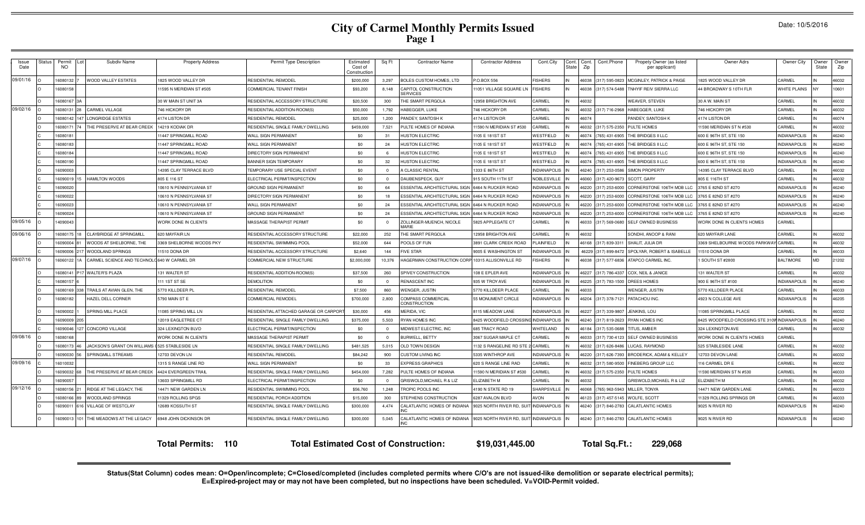Date: 10/5/2016

| Issue<br>Date | Status | Permit<br><b>NO</b> | Subdiv Name                        | <b>Property Address</b>   | Permit Type Description                      | Estimated<br>Cost of<br>Construction | Sq Ft      | <b>Contractor Name</b>                          | <b>Contractor Address</b> | Cont.City           | Cont.<br>State | Cont.<br>Zip | Cont.Phone    | Propety Owner (as listed<br>per applicant) | Owner Adrs                     | Owner City          | Dwner<br>State | Owner<br>Zip |
|---------------|--------|---------------------|------------------------------------|---------------------------|----------------------------------------------|--------------------------------------|------------|-------------------------------------------------|---------------------------|---------------------|----------------|--------------|---------------|--------------------------------------------|--------------------------------|---------------------|----------------|--------------|
| 09/01/16      |        | 6080132             | <b>JOOD VALLEY ESTATES</b>         | 825 WOOD VALLEY DR        | RESIDENTIAL REMODEL                          | \$200,000                            | 3,297      | <b>BOLES CUSTOM HOMES, LTD</b>                  | P.O.BOX 556               | <b>FISHERS</b>      |                | 16038        | 317) 595-0823 | MCGINLEY, PATRICK & PAIGE                  | 825 WOOD VALLEY DR             | CARMEL              |                | 46032        |
|               |        | 6080158             |                                    | 1595 N MERIDIAN ST #505   | COMMERCIAL TENANT FINISH                     | \$93,200                             | 8,148      | CAPITOL CONSTRUCTION<br><b>SERVICES</b>         | 1051 VILLAGE SQUARE LN    | <b>FISHERS</b>      |                | 46038        | 317) 574-5488 | TNHYIF REIV SIERRA LLC                     | <b>44 BROADWAY S 10TH FLR</b>  | WHITE PLAINS        | NY             | 10601        |
|               |        | 6080167             |                                    | 30 W MAIN ST UNIT 3A      | RESIDENTIAL ACCESSORY STRUCTURE              | \$20,500                             | 300        | THE SMART PERGOLA                               | <b>2958 BRIGHTON AVE</b>  | CARMEL              |                | 46032        |               | <b>WEAVER, STEVEN</b>                      | 30 A W. MAIN ST                | CARMEL              |                | 46032        |
| 09/02/16      |        | 608013              | CARMEL VILLAGE                     | 746 HICKORY DR            | RESIDENTIAL ADDITION-ROOM(S                  | \$50,000                             | 1.792      | HABEGGER, LUKE                                  | 746 HICKORY DR            | CARMEL              | IN             | 16032        | 317) 716-296  | <b>HABEGGER, LUKE</b>                      | 746 HICKORY DF                 | CARMEL              |                | 46032        |
|               |        | 6080142             | <b>LONGRIDGE ESTATES</b>           | 4174 LISTON DR            | RESIDENTIAL REMODEI                          | \$25,000                             | 1.200      | PANDEY, SANTOSH K                               | 4174 LISTON DR            | CARMEL              | IN             | 46074        |               | PANDEY, SANTOSH K                          | 4174 LISTON DR                 | CARMEL              |                | 46074        |
|               |        | 608017              | HE PRESERVE AT BEAR CREEK          | 14219 KODIAK DR           | RESIDENTIAL SINGLE FAMILY DWELLING           | \$459,000                            | 7,521      | PULTE HOMES OF INDIANA                          | 1590 N MERIDIAN ST #530   | CARMEL              |                | 16032        | 317) 575-235  | PULTE HOMES                                | 1590 MERIDIAN STN #530         | CARMEL              |                | 46032        |
|               |        | 608018              |                                    | 1447 SPRINGMILL ROAD      | <b>WALL SIGN PERMANENT</b>                   | \$0                                  | 31         | <b>IUSTON ELECTRIC</b>                          | 105 E 181ST ST            | VESTFIELD           |                | 16074        | (65) 431-690  | THE BRIDGES II LLC                         | 600 E 96TH ST, STE 150         | NDIANAPOLIS         |                | 46240        |
|               |        | 6080183             |                                    | 1447 SPRINGMILL ROAD      | WALL SIGN PERMANENT                          | \$0                                  | 24         | <b>HUSTON ELECTRIC</b>                          | 105 E 181ST ST            | WESTFIELD           |                | 16074        | 765) 431-6905 | THE BRIDGES II LLC                         | 600 E 96TH ST, STE 150         | NDIANAPOLIS         |                | 46240        |
|               |        | 6080184             |                                    | 1447 SPRINGMILL ROAD      | DIRECTORY SIGN PERMANENT                     | \$0                                  | -6         | <b>HUSTON ELECTRIC</b>                          | 105 E 181ST ST            | WESTFIELD           |                | 46074        | 65) 431-6905  | THE BRIDGES II LLC                         | 600 E 96TH ST, STE 150         | NDIANAPOLIS         |                | 46240        |
|               |        | 608019              |                                    | 11447 SPRINGMILL ROAD     | <b>BANNER SIGN TEMPORARY</b>                 | \$0                                  | 32         | <b>HUSTON ELECTRIC</b>                          | 105 E 181ST ST            | WESTFIELD           |                | 46074        | (65) 431-690  | THE BRIDGES II LLC                         | 600 E 96TH ST, STE 150         | <b>INDIANAPOLIS</b> |                | 46240        |
|               |        | 6090003             |                                    | 4395 CLAY TERRACE BLVD    | <b><i>EMPORARY USE SPECIAL EVENT</i></b>     | \$0                                  | $\Omega$   | A CLASSIC RENTAL                                | 333 E 86TH ST             | <b>NDIANAPOLIS</b>  |                | 16240        | 317) 253-058  | SIMON PROPERTY                             | 4395 CLAY TERRACE BLVD         | CARMEL              |                | 46032        |
|               |        | 6090019             | HAMILTON WOODS                     | 805 E 116 ST              | ELECTRICAL PERMIT/INSPECTION                 | \$0                                  | $^{\circ}$ | DAUBENSPECK, GUY                                | 915 SOUTH 11TH ST         | NOBLESVILLE         |                | 16060        | 317) 420-967  | SCOTT, GARY                                | 805 E 116TH ST                 | CARMEL              |                | 46032        |
|               |        | 6090020             |                                    | 10610 N PENNSYLVANIA ST   | <b>GROUND SIGN PERMANENT</b>                 | \$0                                  | 64         | ESSENTIAL ARCHITECTURAL SIGN                    | 6464 N RUCKER ROAD        | <b>INDIANAPOLIS</b> |                | 16220        | 317) 253-6000 | CORNERSTONE 106TH MOB LLC                  | 3765 E 82ND ST #270            | <b>INDIANAPOLIS</b> |                | 46240        |
|               |        | 6090022             |                                    | 10610 N PENNSYLVANIA ST   | DIRECTORY SIGN PERMANENT                     | \$0                                  | 18         | ESSENTIAL ARCHITECTURAL SIGN                    | 6464 N RUCKER ROAD        | NDIANAPOLIS         |                | 16220        | 317) 253-6000 | CORNERSTONE 106TH MOB LLC                  | 3765 E 82ND ST #270            | NDIANAPOLIS         |                | 46240        |
|               |        | 6090023             |                                    | 10610 N PENNSYLVANIA ST   | WALL SIGN PERMANENT                          | \$0                                  | 24         | <b>ESSENTIAL ARCHITECTURAL SIGN</b>             | <b>6464 N RUCKER ROAD</b> | NDIANAPOLIS         |                | 16220        | 317) 253-600  | CORNERSTONE 106TH MOB LLC                  | 3765 E 82ND ST #270            | NDIANAPOLIS         |                | 46240        |
|               |        | 6090024             |                                    | 10610 N PENNSYLVANIA ST   | GROUND SIGN PERMANENT                        | \$0                                  | 24         | ESSENTIAL ARCHITECTURAL SIGN                    | 6464 N RUCKER ROAD        | NDIANAPOLIS         |                | 16220        | 317) 253-600  | CORNERSTONE 106TH MOB LLC                  | 3765 E 82ND ST #270            | NDIANAPOLIS         |                | 46240        |
| 09/05/16      |        | 4090043             |                                    | WORK DONE IN CLIENTS      | MASSAGE THERAPIST PERMIT                     | \$0                                  | $\Omega$   | ZOLLINGER-MUENCH, NICOLE<br>MARIE               | 5825 APPLEGATE CT         | CARMEL              |                | 46033        | 317) 569-0680 | <b>SELF OWNED BUSINESS</b>                 | VORK DONE IN CLIENTS HOMES     | CARMEL              |                |              |
| 09/06/16      |        | 6080175             | <b>CLAYBRIDGE AT SPRINGMILI</b>    | 620 MAYFAIR LN            | RESIDENTIAL ACCESSORY STRUCTURE              | \$22,000                             | 252        | THE SMART PERGOLA                               | 2958 BRIGHTON AVE         | CARMEL              |                | 46032        |               | SONDHI, ANOOP & RANI                       | 620 MAYFAIR LANE               | CARMEL              |                | 46032        |
|               |        | 6090004             | WOODS AT SHELBORNE. THE            | 3369 SHELBORNE WOODS PKY  | RESIDENTIAL SWIMMING POOL                    | \$52,000                             | 644        | POOLS OF FUN                                    | 3891 CLARK CREEK ROAD     | PLAINFIELD          |                | 46168        | 317) 839-3311 | SHALIT. JULIA DR                           | 3369 SHELBOURNE WOODS PARKWAY  | CARMEL              |                | 46032        |
|               |        | 6090006             | WOODLAND SPRINGS                   | 11510 DONA DR             | RESIDENTIAL ACCESSORY STRUCTURE              | \$2,640                              | 144        | <b>FIVE STAR</b>                                | 9005 E WASHINGTON ST      | <b>NDIANAPOLIS</b>  |                | 46229        | 317) 899-847  | SPOLYAR, ROBERT & ISABELLE                 | 11510 DONA DR                  | CARMEL              |                | 46033        |
| 09/07/16      |        | 6060122             | CARMEL SCIENCE AND TECHNOL         | 640 W CARMEL DR           | COMMERCIAL NEW STRUCTURE                     | \$2,000,000                          | 10,376     | HAGERMAN CONSTRUCTION CORP                      | 10315 ALLISONVILLE RD     | <b>ISHERS</b>       |                | 16038        | 317) 577-6836 | ATAPCO CARMEL INC                          | SOUTH ST #2800                 | <b>BALTIMORE</b>    | MD             | 21202        |
|               |        | 6080141             | <b>WALTER'S PLAZA</b>              | 131 WALTER ST             | RESIDENTIAL ADDITION-ROOM(S)                 | \$37,500                             | 260        | SPIVEY CONSTRUCTION                             | 108 E EPLER AVE           | <b>INDIANAPOLIS</b> |                | 16227        | 317) 786-4337 | COX, NEIL & JANICE                         | 131 WALTER ST                  | CARMEL              |                | 46032        |
|               |        | 608015              |                                    | 11 1ST ST SE              | <b>DEMOLITION</b>                            | \$0                                  | $\Omega$   | RENASCENT INC                                   | 935 W TROY AVE            | NDIANAPOLIS         |                | 16225        | 317) 783-1500 | <b>DREES HOMES</b>                         | 900 E 96TH ST #100             | NDIANAPOLIS         |                | 46240        |
|               |        | 6080169             | RAILS AT AVIAN GLEN. THE           | 5770 KILLDEER P           | RESIDENTIAL REMODEL                          | \$7,500                              | 860        | WENGER, JUSTIN                                  | 5770 KILLDEER PLACE       | CARMEL              |                | 16033        |               | WENGER, JUSTIN                             | 5770 KILLDEER PLACE            | CARMEL              |                | 46033        |
|               |        | 6080182             | HAZEL DELL CORNER                  | 5790 MAIN ST E            | COMMERCIAL REMODEL                           | \$700,000                            | 2,800      | COMPASS COMMERCIAL<br>CONSTRUCTION              | 55 MONUMENT CIRCLE        | <b>INDIANAPOLIS</b> |                | 16204        | 317) 378-7121 | PATACHOU INC.                              | 4923 N COLLEGE AVE             | <b>INDIANAPOLIS</b> |                | 46205        |
|               |        | 6090002             | <b>PRING MILL PLACE</b>            | 1085 SPRING MILL LN       | RESIDENTIAL ATTACHED GARAGE OR CARPOR        | \$30,000                             | 456        | MERIDA, VIC                                     | <b>8115 MEADOW LANE</b>   | NDIANAPOLIS         |                | 16227        | 317) 339-980  | JENKINS, LOU                               | 1085 SPRINGMILL PLACE          | CARMEL              |                | 46032        |
|               |        | 6090009             |                                    | 12019 EAGLETREE CT        | RESIDENTIAL SINGLE FAMILY DWELLING           | \$375,000                            | 5,503      | RYAN HOMES INC                                  | 8425 WOODFIELD CROSSII    | <b>INDIANAPOLIS</b> |                | 46240        | 317) 819-262  | RYAN HOMES INC                             | 8425 WOODFIELD CROSSING STE 31 | <b>INDIANAPOLIS</b> |                | 46240        |
|               |        | 6090046             | CONCORD VILLAGE                    | 324 LEXINGTON BLVD        | ELECTRICAL PERMIT/INSPECTION                 | \$0                                  | $\Omega$   | MIDWEST ELECTRIC, INC                           | 685 TRACY ROAD            | <b>NHITELAND</b>    |                | 46184        | 317) 535-068  | TITUS, AMBER                               | 324 LEXINGTON AVE              | CARMEL              |                | 46032        |
| 09/08/16      |        | 608016              |                                    | WORK DONE IN CLIENTS      | MASSAGE THERAPIST PERMIT                     | \$0                                  | $\Omega$   | BURWELL, BETTY                                  | 3067 SUGAR MAPLE CT       | CARMEL              |                | 16033        | 317) 730-412  | <b>SELF OWNED BUSINESS</b>                 | WORK DONE IN CLIENTS HOMES     | CARMEL              |                |              |
|               |        | 6080173             | <b>JACKSON'S GRANT ON WILLIAMS</b> | 525 STABLESIDE LN         | RESIDENTIAL SINGLE FAMILY DWELLING           | \$481,525                            | 5,015      | OLD TOWN DESIGN                                 | 132 S RANGELINE RD STE    | CARMEL              |                | 16032        | 317) 626-848  | LUCAS, RAYMOND                             | 525 STABLESIDE LANE            | CARMEL              |                | 46032        |
|               |        | 6090030             | <b>SPRINGMILL STREAMS</b>          | 2703 DEVON LN             | RESIDENTIAL REMODEI                          | \$84,242                             | 900        | CUSTOM LIVING INC                               | 5335 WINTHROP AVE         | <b>NDIANAPOLIS</b>  |                | 16220        | 317) 626-739  | <b>BRODERICK, ADAM &amp; KELLEY</b>        | 12703 DEVON LANE               | CARMEL              |                | 46032        |
| 09/09/16      |        | 6010032             |                                    | 1315 S RANGE LINE RD      | WALL SIGN PERMANENT                          | \$0                                  | 33         | <b>EXPRESS GRAPHICS</b>                         | 620 S RANGE LINE RAD      | CARMEL              |                | 16032        | 317) 580-9500 | <b>FINEBERG GROUP LLC</b>                  | 116 CARMEL DR E                | CARMEL              |                | 46032        |
|               |        | 6090032             | HE PRESERVE AT BEAR CREEK          | 4424 EVERGREEN TRAIL      | RESIDENTIAL SINGLE FAMILY DWELLING           | \$454,000                            | 7,282      | PULTE HOMES OF INDIANA                          | 1590 N MERIDIAN ST #530   | ARMEL               |                | 16032        | 317) 575-235  | PULTE HOMES                                | 1590 MERIDIAN STN #530         | CARMEI              |                | 46033        |
|               |        | 6090057             |                                    | 3603 SPRINGMILL RD        | ELECTRICAL PERMIT/INSPECTION                 | \$0                                  | $\Omega$   | GRISWOLD.MICHAEL R & LIZ                        | ELIZABETH M               | CARMEL              |                | 16032        |               | GRISWOLD.MICHAEL R & LIZ                   | ELIZABETH M                    | CARMEL              |                | 46032        |
| 09/12/16      |        | 6080156             | RIDGE AT THE LEGACY, THE           | 14471 NEW GARDEN LN       | RESIDENTIAL SWIMMING POOL                    | \$56,760                             | 1,248      | TROPIC POOLS INC                                | 4190 N STATE RD 19        | SHARPSVILLE         |                | 16068        | 765) 963-5943 | MILLER, TONYA                              | 14471 NEW GARDEN LANE          | CARMEL              |                | 46033        |
|               |        | 6080166             | <b>NOODLAND SPRINGS</b>            | 11329 ROLLING SPGS        | RESIDENTIAL PORCH ADDITION                   | \$15,000                             | 300        | STEPHENS CONSTRUCTION                           | 6287 AVALON BLVD          | <b>AVON</b>         |                | 46123        | 317) 457-5145 | WOLFE, SCOTT                               | 1329 ROLLING SPRINGS DR        | CARMEL              |                | 46033        |
|               |        | 609001              | VILLAGE OF WESTCLAY                | 12689 KOSSUTH ST          | RESIDENTIAL SINGLE FAMILY DWELLING           | \$300,000                            | 4,474      | CALATLANTIC HOMES OF INDIANA<br>IN <sub>C</sub> | 9025 NORTH RIVER RD, SU   | <b>INDIANAPOLIS</b> |                | 16240        | 317) 846-278  | <b>CALATLANTIC HOMES</b>                   | 9025 N RIVER RD                | <b>INDIANAPOLIS</b> |                | 46240        |
|               |        | 6090013             | THE MEADOWS AT THE LEGACY          | 6948 JOHN DICKINSON DR    | RESIDENTIAL SINGLE FAMILY DWELLING           | \$300,000                            | 5,045      | CALATLANTIC HOMES OF INDIANA<br>INC             | 9025 NORTH RIVER RD, SU   | <b>INDIANAPOLIS</b> |                | 46240        | 317) 846-2783 | <b>CALATLANTIC HOMES</b>                   | 9025 N RIVER RD                | <b>INDIANAPOLIS</b> |                | 46240        |
|               |        |                     |                                    | <b>Total Permits: 110</b> | <b>Total Estimated Cost of Construction:</b> |                                      |            |                                                 | \$19,031,445.00           |                     |                |              | Total Sq.Ft.: | 229,068                                    |                                |                     |                |              |

Status(Stat Column) codes mean: O=Open/incomplete; C=Closed/completed (includes completed permits where C/O's are not issued-like demolition or separate electrical permits);<br>E=Expired-project may or may not have been compl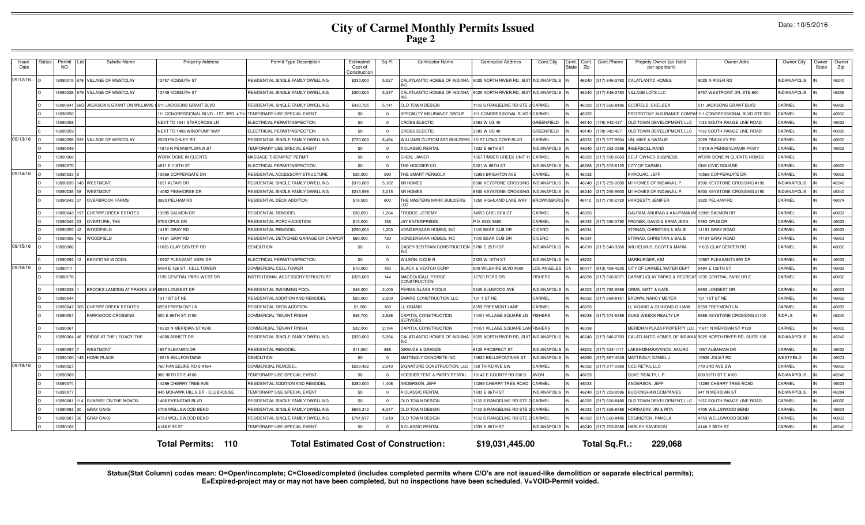| <i><b>Issue</b></i><br>Date | <b>Status</b> | Permit<br>Subdiv Name<br><b>NO</b>                             | <b>Property Address</b>                                            | Permit Type Description                      | Estimated<br>Cost of<br>Construction | Sq Ft          | <b>Contractor Name</b>                         | <b>Contractor Address</b> | Cont.City            | Cont.<br>Cont.<br>State<br>Zip | Cont.Phone    | Propety Owner (as listed<br>per applicant)         | Owner Adrs                                                 | Owner City          | Owner<br>State | Owner<br>Zip |
|-----------------------------|---------------|----------------------------------------------------------------|--------------------------------------------------------------------|----------------------------------------------|--------------------------------------|----------------|------------------------------------------------|---------------------------|----------------------|--------------------------------|---------------|----------------------------------------------------|------------------------------------------------------------|---------------------|----------------|--------------|
| 09/12/16 0                  |               | VILLAGE OF WESTCLAY<br>609001                                  | 12757 KOSSUTH ST                                                   | RESIDENTIAL SINGLE FAMILY DWELLING           | \$330,000                            | 5,527          | CALATLANTIC HOMES OF INDIANA                   | 9025 NORTH RIVER RD, SU   | <b>INDIANAPOLIS</b>  | 46240                          | 317) 846-2783 | <b>CALATLANTIC HOMES</b>                           | 9025 N RIVER RD                                            | <b>INDIANAPOLIS</b> |                | 46240        |
|                             |               | 6090026<br>VILLAGE OF WESTCLAY                                 | 12749 KOSSUTH ST                                                   | RESIDENTIAL SINGLE FAMILY DWELLING           | \$300,000                            | 5,337          | CALATLANTIC HOMES OF INDIANA                   | 9025 NORTH RIVER RD. SUIT | <b>INDIANAPOLIS</b>  | 16240                          | 317) 846-2783 | VILLAGE LOTS LLC                                   | 9757 WESTPOINT DR. STE 600                                 | <b>INDIANAPOLIS</b> |                | 46256        |
|                             |               | 609004<br>JACKSON'S GRANT ON WILLIAMS (511 JACKSONS GRANT BLVD |                                                                    | RESIDENTIAL SINGLE FAMILY DWELLING           | \$430.725                            | 5.141          | <b>OLD TOWN DESIGN</b>                         | 132 S RANGELINE RD STE    | CARMEL               | 46032                          | 317) 626-848  | SCOFIELD, CHELSEA                                  | 511 JACKSONS GRANT BLVD                                    | CARMEL              |                | 46032        |
|                             |               | 16090050                                                       | 111 CONGRESSIONAL BLVD - 1ST, 3RD, 4TH TEMPORARY USE SPECIAL EVENT |                                              | \$0                                  | $\Omega$       | SPECIALTY INSURANCE GROUP                      | 111 CONGRESSIONAL BLVD    | CARMEL               | 46032                          |               |                                                    | PROTECTIVE INSURANCE COMPAI 111 CONGRESSIONAL BLVD STE 500 | CARMEL              |                | 46032        |
|                             |               | 609005                                                         | NEXT TO 1541 STARCROSS LN                                          | <b>LECTRICAL PERMIT/INSPECTION</b>           | \$0                                  | $\Omega$       | CROSS ELECTIC                                  | 3583 W US 40              | <b>GREENFIELD</b>    | 46140                          | 78) 942-427   | OLD TOWN DEVELOPMENT, LLC                          | 132 SOUTH RANGE LINE ROAD                                  | CARMEL              |                | 46032        |
|                             |               | 6090059                                                        | NEXT TO 1482 WINDPUMP WAY                                          | ELECTRICAL PERMIT/INSPECTION                 | \$0                                  | $\Omega$       | CROSS ELECTIC                                  | 3583 W US 40              | GREENFIELD           | 16140                          | 78) 942-427   | OLD TOWN DEVELOPMENT. LLC                          | 132 SOUTH RANGE LINE ROAD                                  | CARMEL              |                | 46032        |
| 09/13/16 0                  |               | VILLAGE OF WESTCLAY<br>6080098                                 | 2029 FINCHLEY RD                                                   | RESIDENTIAL SINGLE FAMILY DWELLING           | \$720,000                            | 8,484          | <b>NILLIAMS CUSTOM ART BUILDERS</b>            | 15157 LONG COVE BLVD      | CARMEL               | 46033                          | 317) 577-9904 | LIN, MIKE & NATALIE                                | 2029 FINCHLEY RD                                           | CARMEL              |                | 46032        |
|                             |               | 6090049                                                        | 11819 N PENNSYLVANIA ST                                            | TEMPORARY USE SPECIAL EVENT                  | \$0                                  | $\Omega$       | A CLASSIC RENTAL                               | 1333 E 86TH ST            | <b>INDIANAPOLIS</b>  | 46240                          | 317) 253-058  | <b>INGERSOLL RAND</b>                              | 1819-A PENNSYLVANIA PKWY                                   | CARMEL              |                | 46032        |
|                             |               | 609006                                                         | WORK DONE IN CLIENTS                                               | MASSAGE THERAPIST PERMIT                     | \$0                                  | $\Omega$       | CHEN, JIANER                                   | 1057 TIMBER CREEK UNIT    | CARMEL               | 16032                          | 317) 550-666  | <b>SELF OWNED BUSINESS</b>                         | <b><i>NORK DONE IN CLIENTS HOMES</i></b>                   | CARMEL              |                |              |
|                             |               | 609007                                                         | 4611 E 116TH ST                                                    | ELECTRICAL PERMIT/INSPECTION                 | \$0                                  | $\Omega$       | <b>HE HOOSIER CO</b>                           | 5421 W 86TH ST            | NDIANAPOLIS          | 16268                          | 817) 872-8125 | <b>CITY OF CARMEL</b>                              | ONE CIVIC SQUARE                                           | CARMEL              |                | 46032        |
| 09/14/16                    |               | 6090033                                                        | 10569 COPPERGATE DR                                                | RESIDENTIAL ACCESSORY STRUCTURE              | \$35,000                             | 590            | <b>HE SMART PERGOLA</b>                        | 12958 BRIGHTON AVE        | CARMEL               | 46032                          |               | KYROUAC, JEFF                                      | 10569 COPPERGATE DR.                                       | CARMEL              |                | 46032        |
|                             |               | <b>WESTMONT</b><br>6090035                                     | 1651 ALTAIR DR                                                     | RESIDENTIAL SINGLE FAMILY DWELLING           | \$316,000                            | 5,182          | <b>M/I HOMES</b>                               | 8500 KEYSTONE CROSSING    | <b>NDIANAPOLIS</b>   | 46240                          | 317) 255-9900 | M/I HOMES OF INDIANA L.P.                          | 8500 KEYSTONE CROSSING #190                                | <b>INDIANAPOLIS</b> |                | 46240        |
|                             |               | <b>NESTMONT</b><br>6090036                                     | 14062 FINNHORSE DR                                                 | RESIDENTIAL SINGLE FAMILY DWELLING           | \$245.596                            | 3.015          | <b>MIHOMES</b>                                 | 3500 KEYSTONE CROSSIN     | NDIANAPOLIS          | 46240                          | 317) 255-9900 | MI HOMES OF INDIANA L.P.                           | 3500 KEYSTONE CROSSING #190                                | <b>NDIANAPOLIS</b>  |                | 46240        |
|                             |               | 6090042<br><b>OVERBROOK FARMS</b>                              | 3920 PELHAM RD                                                     | RESIDENTIAL DECK ADDITION                    | \$18,500                             | 600            | HE MASTERS MARK BUILDERS.                      | 1250 HIGHLAND LAKE WAY    | <b>BROWNSBURG IN</b> | 46112                          | 317) 710-2720 | HARDESTY, JENIFER                                  | 3920 PELHAM RD                                             | CARMEL              |                | 46074        |
|                             |               | <b>CHERRY CREEK ESTATES</b><br>6090043                         | 13995 SALMON DR                                                    | RESIDENTIAL REMODEL                          | \$30,650                             | 1.264          | RODGE, JEREMY                                  | 14553 CHELSEA CT          | CARMEL               | 46033                          |               | GAUTAM, ANURAG & ANUPAMA MIS                       | 13995 SALMON DR                                            | CARMEL              |                | 46033        |
|                             |               | 6090045<br>OVERTURE, THE                                       | 5763 OPUS DR                                                       | RESIDENTIAL PORCH ADDITION                   | \$15,000                             | 156            | JAY ENTERPRISES                                | P.O. BOX 3685             | CARMEL               | 46032                          | 17) 590-079   | FRONEK, DAVID & ERMA JEAN                          | 763 OPUS DR                                                | CARMEL              |                | 46033        |
|                             |               | 6090055<br>42<br><b>WOODFIELD</b>                              | 14191 GRAY RD                                                      | RESIDENTIAL REMODEL                          | \$290,000                            | 1,203          | /ONDERSAAR HOMES, INC                          | 105 BEAR CUB DR           | <b>CICERO</b>        | 46034<br>IN                    |               | STRNAD, CHRISTIAN & BALIE                          | 4191 GRAY ROAD                                             | CARMEL              |                | 46033        |
|                             |               | WOODFIELD<br>6090056                                           | 14191 GRAY RD                                                      | RESIDENTIAL DETACHED GARAGE OR CARPO         | \$60,000                             | 720            | <b>/ONDERSAAR HOMES, INC</b>                   | 1105 BEAR CUB DR          | CICERO               | 46034<br>IN                    |               | STRNAD, CHRISTIAN & BALIE                          | 4191 GRAY ROAD                                             | CARMEL              |                | 46033        |
| 09/15/16 0                  |               | 609008                                                         | 11635 CLAY CENTER RD                                               | <b>DEMOLITION</b>                            | \$0                                  | $\overline{0}$ | CASEY-BERTRAM CONSTRUCTION                     | 5780 E 25TH ST            | <b>INDIANAPOLIS</b>  | 16218                          | 317) 546-3366 | <b>WILHELMUS, SCOTT &amp; MARIA</b>                | 1635 CLAY CENTER RD                                        | CARMEL              |                | 46032        |
|                             |               | <b>KEYSTONE WOODS</b><br>6090093                               | 10907 PLEASANT VIEW DR                                             | ELECTRICAL PERMIT/INSPECTION                 | \$0                                  | $\Omega$       | <b>NILSON, OZZIE B</b>                         | 2322 W 10TH ST            | <b>INDIANAPOLIS</b>  | 46222                          |               | MARBURGER, KIM                                     | 10907 PLEASANTVIEW DR                                      | CARMEL              |                | 46033        |
| 09/16/16                    |               | 608011                                                         | 5484 E 126 ST - CELL TOWER                                         | COMMERCIAL CELL TOWEF                        | \$10,000                             | 150            | <b>BLACK &amp; VEATCH CORF</b>                 | 800 WILSHIRE BLVD #600    | LOS ANGELES          | 90017                          | 13) 458-423   | CITY OF CARMEL WATER DEPT                          | 5484 E 126TH ST                                            | CARMEL              |                | 46033        |
|                             |               | 6080178                                                        | 1195 CENTRAL PARK WEST DR                                          | NSTITUTIONAL ACCESSORY STRUCTURE             | \$335,000                            | 144            | <b>MACDOUGALL PIERCE</b><br><b>ONSTRUCTION</b> | 12720 FORD DR             | <b>FISHERS</b>       | 46038                          | 317) 596-6371 | CARMEL/CLAY PARKS & RECREAT 1235 CENTRAL PARK DR E |                                                            | CARMEL              |                | 46032        |
|                             |               | BROOKS LANDING AT PRAIRIE VIE 6893 LONGEST DR<br>609002        |                                                                    | RESIDENTIAL SWIMMING POOL                    | \$49,000                             | 2,400          | PERMA-GLASS POOLS                              | 5245 ELMWOOD AVE          | <b>INDIANAPOLIS</b>  | 46203                          | 317) 782-995  | ORME, MATT & KATE                                  | 6893 LONGEST DR                                            | CARMEL              |                | 46033        |
|                             |               | 6090044                                                        | 131 1ST ST NE                                                      | RESIDENTIAL ADDITION AND REMODEL             | \$50,000                             | 2.200          | <b>EMARD CONSTRUCTION LLC</b>                  | 131 1 ST NE               | <b>ARMEL</b>         | 16032                          | 317) 698-816  | BROWN, NANCY MEYER                                 | <b>131 1ST ST NE</b>                                       | CARMEL              |                | 46032        |
|                             |               | CHERRY CREEK ESTATES<br>6090047                                | 6559 FREEMONT LN                                                   | RESIDENTIAL DECK ADDITION                    | \$1,200                              | 160            | <b>I. XIGANG</b>                               | 6559 FREEMONT LANE        | CARMEL               | 46033                          |               | LI, XIGANG & GUIHONG QI H&W                        | <b>659 FREEMONT LN</b>                                     | CARMEL              |                | 46033        |
|                             |               | 609005<br>PARKWOOD CROSSING                                    | 500 E 96TH ST #150                                                 | COMMERCIAL TENANT FINISH                     | \$46,700                             | 2,826          | CAPITOL CONSTRUCTION<br><b>SERVICES</b>        | 1051 VILLAGE SQUARE LN    | <b>FISHERS</b>       | 16038                          |               | 317) 574-5488 DUKE WEEKS REALTY LP                 | 888 KEYSTONE CROSSING #1100                                | <b>INDPLS</b>       |                | 46240        |
|                             |               | 609006                                                         | 10333 N MERIDIAN ST #245                                           | COMMERCIAL TENANT FINISH                     | \$32,000                             | 2.184          | CAPITOL CONSTRUCTION                           | 1051 VILLAGE SQUARE LA    | <b>FISHERS</b>       | 46038                          |               | MERIDIAN PLAZA PROPERTY LLC                        | 11611 N MERIDIAN ST #120                                   | CARMEL              |                | 46032        |
|                             |               | RIDGE AT THE LEGACY. THE<br>6090064                            | 4508 ARNETT DR                                                     | RESIDENTIAL SINGLE FAMILY DWELLING           | \$320,000                            | 5,564          | CALATLANTIC HOMES OF INDIANA                   | 9025 NORTH RIVER RD, SUI  | <b>INDIANAPOLIS</b>  | 46240                          | 317) 846-2783 | CALATLANTIC HOMES OF INDIANA                       | 9025 NORTH RIVER RD, SUITE 100                             | <b>NDIANAPOLIS</b>  |                | 46240        |
|                             |               | <b>NESTMONT</b><br>6090097                                     | 1857 ALBANIAN DR                                                   | RESIDENTIAL REMODEL                          | \$11,000                             | 888            | GRANDE & GRANDE                                | <b>6125 PROSPECT ST</b>   | <b>NDIANAPOLIS</b>   | 16203                          | 317) 523-1111 | LAKSHMINARAYANON, ANURD                            | 857 ALBANIAN DR                                            | CARMEL              |                | 46032        |
|                             |               | HOME PLACE<br>6090100                                          | 10615 BELLFONTAINE                                                 | <b>DEMOLITION</b>                            | \$0                                  | $\overline{0}$ | <b>MATTINGLY CONCRETE INC</b>                  | 10620 BELLEFONTAINE ST    | <b>INDIANAPOLIS</b>  | 46280                          | 317) 867-4049 | MATTINGLY, DANIEL,                                 | 5936 JOLIET RD                                             | WESTFIELD           |                | 46074        |
| 09/19/16                    |               | 609002                                                         | 760 RANGELINE RD S #164                                            | COMMERCIAL REMODEL                           | \$233,422                            | 2,043          | SIGNATURE CONSTRUCTION, LL                     | 720 THIRD AVE SW          | CARMEL               | 46032                          | 317) 817-0360 | <b>CCC RETAIL LLC</b>                              | 770 3RD AVE SW                                             | CARMEL              |                | 46032        |
|                             |               | 6090069                                                        | 900 96TH ST E #100                                                 | <b>EMPORARY USE SPECIAL EVENT</b>            | \$0                                  | $\Omega$       | <b>HOOSIER TENT &amp; PARTY RENTAL</b>         | 0142 E COUNTY RD 200 S    | <b>AVON</b>          | 46123                          |               | DUKE REALTY, L.P                                   | 600 96TH ST E #100                                         | <b>NDIANAPOLIS</b>  |                | 46240        |
|                             |               | 609007                                                         | 14299 CHERRY TREE AVE                                              | RESIDENTIAL ADDITION AND REMODEL             | \$280,000                            | 1,406          | ANDERSON, JEFF                                 | 4299 CHERRY TREE ROAD     | CARMEL               | 46033                          |               | ANDERSON, JEFF                                     | 4299 CHERRY TREE ROAD                                      | CARMEL              |                | 46033        |
|                             |               | 609007                                                         | 945 MOHAWK HILLS DR - CLUBHOUSE                                    | TEMPORARY USE SPECIAL EVENT                  | \$0                                  | $\Omega$       | A CLASSIC RENTAL                               | 1333 E 86TH ST            | <b>NDIANAPOLIS</b>   | 46240                          | 317) 253-058  | <b>BUCKINGHAM COMPANIES</b>                        | 941 N MERIDIAN ST                                          | <b>INDIANAPOLIS</b> |                | 46204        |
|                             |               | SUNRISE ON THE MONON<br>609008                                 | 1486 EVENSTAR BLVD                                                 | RESIDENTIAL SINGLE FAMILY DWELLING           | \$0                                  | $\overline{0}$ | OLD TOWN DESIGN                                | 1132 S RANGELINE RD STE   | CARMEL               | 46032                          | 317) 626-8486 | OLD TOWN DEVELOPMENT, LLC                          | 132 SOUTH RANGE LINE ROAD                                  | CARMEL              |                | 46032        |
|                             |               | 6090083<br><b>GRAY OAKS</b>                                    | 4705 WELLSWOOD BEND                                                | RESIDENTIAL SINGLE FAMILY DWELLING           | \$605,312                            | 6,347          | <b>JLD TOWN DESIGN</b>                         | 132 S RANGELINE RD STE    | CARMEL               | 16032                          | 317) 626-8486 | HORNADAY, JIM & RITA                               | 4705 WELLSWOOD BEND                                        | CARMEL              |                | 46033        |
|                             |               | <b>GRAY OAKS</b><br>6090087                                    | 4753 WELLSWOOD BEND                                                | RESIDENTIAL SINGLE FAMILY DWELLING           | \$791,977                            | 7,610          | <b>OLD TOWN DESIGN</b>                         | 1132 S RANGELINE RD STE   | CARMEL               | 16032                          | 317) 626-848  | EDGINGTON, PAMELA                                  | 4753 WELLSWOOD BEND                                        | CARMEL              |                | 46033        |
|                             | $\Omega$      | 6090102                                                        | 4146 E 96 ST                                                       | TEMPORARY USE SPECIAL EVENT                  | \$0                                  | $\Omega$       | A CLASSIC RENTAL                               | 1333 E 86TH ST            | <b>INDIANAPOLIS</b>  | 46240                          | 317) 253-0586 | <b>HARLEY DAVIDSON</b>                             | 4146 E 96TH ST                                             | CARMEL              |                | 46240        |
|                             |               |                                                                | <b>Total Permits:</b><br>110                                       | <b>Total Estimated Cost of Construction:</b> |                                      |                |                                                | \$19,031,445.00           |                      |                                | Total Sq.Ft.: | 229,068                                            |                                                            |                     |                |              |

Status(Stat Column) codes mean: O=Open/incomplete; C=Closed/completed (includes completed permits where C/O's are not issued-like demolition or separate electrical permits);<br>E=Expired-project may or may not have been compl

Date: 10/5/2016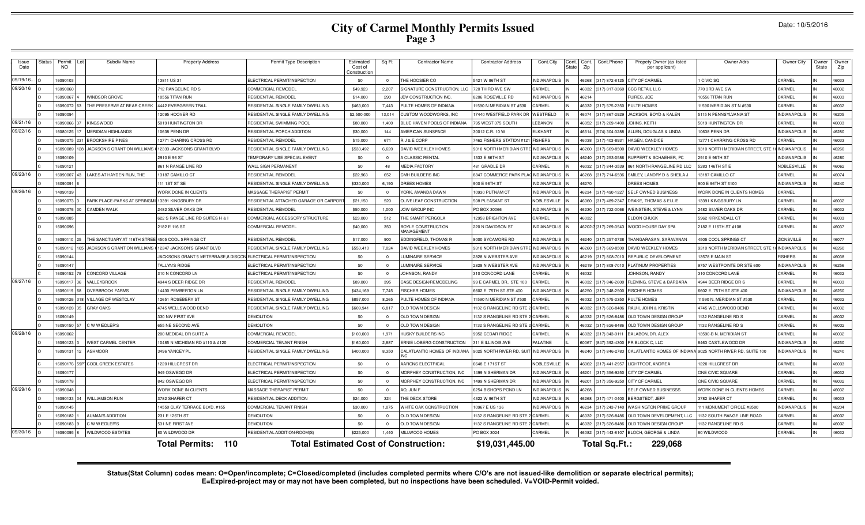| Issue<br>Date | <b>Status</b> | Permit<br><b>NO</b> | Subdiv Name                                              | <b>Property Address</b>                                          | Permit Type Description                      | Estimated<br>Cost of<br>Constructio | Sq Ft          | <b>Contractor Name</b>           | <b>Contractor Address</b>            | Cont.City           | Cont.<br>Cont.<br>State<br>Zip | Cont.Phone             | Propety Owner (as listed<br>per applicant) | Owner Adrs                                                  | Owner City          | Owner<br>State | Owner<br>Zip |
|---------------|---------------|---------------------|----------------------------------------------------------|------------------------------------------------------------------|----------------------------------------------|-------------------------------------|----------------|----------------------------------|--------------------------------------|---------------------|--------------------------------|------------------------|--------------------------------------------|-------------------------------------------------------------|---------------------|----------------|--------------|
| 09/19/16.     |               | 6090103             |                                                          | 13811 US 31                                                      | ELECTRICAL PERMIT/INSPECTION                 | \$0                                 | $\Omega$       | THE HOOSIER CO                   | 5421 W 86TH ST                       | <b>INDIANAPOLIS</b> |                                | 46268 (317) 872-8125   | CITY OF CARMEL                             | <b>CIVIC SQ</b>                                             | CARMEL              |                | 46033        |
| 09/20/16      |               | 6090060             |                                                          | 712 RANGELINE RD S                                               | COMMERCIAL REMODEI                           | \$49,923                            | 2,207          | SIGNATURE CONSTRUCTION, LLC      | 720 THIRD AVE SW                     | CARMEL              |                                | 46032 (317) 817-0360   | CCC RETAIL LLC                             | 770 3RD AVE SW                                              | CARMEL              |                | 46032        |
|               |               | 6090067             | WINDSOR GROVE                                            | 10556 TITAN RUN                                                  | RESIDENTIAL REMODEL                          | \$14,000                            | 290            | JDV CONSTRUCTION INC             | 8206 ROSEVILLE RD                    | <b>NDIANAPOLIS</b>  | 46214                          |                        | UIRES, JOE                                 | 0556 TITAN RUN                                              | <b>ARMEL</b>        |                | 46033        |
|               |               | 6090072             | THE PRESERVE AT BEAR CREEK                               | 4442 EVERGREEN TRAIL                                             | RESIDENTIAL SINGLE FAMILY DWELLING           | \$463,000                           | 7,443          | PULTE HOMES OF INDIANA           | 1590 N MERIDIAN ST #530              | CARMEL              |                                | 46032 (317) 575-2350   | PULTE HOMES                                | 1590 MERIDIAN STN #530                                      | <b>ARMEL</b>        |                | 46032        |
|               |               | 6090094             |                                                          | 12095 HOOVER RD                                                  | RESIDENTIAL SINGLE FAMILY DWELLING           | \$2,500,000                         | 13.014         | CUSTOM WOODWORKS, INC            | 7440 WESTFIELD PARK DF               | WESTFIELD           |                                | 46074 (317) 867-2929   | JACKSON, BOYD & KALEN                      | 5115 N PENNSYLVANIA ST                                      | <b>INDIANAPOLIS</b> |                | 46205        |
| 09/21/16      |               | 6090066             | <b>KINGSWOOD</b>                                         | 5019 HUNTINGTON DR                                               | RESIDENTIAL SWIMMING POOL                    | \$80,000                            | 1,400          | BLUE HAVEN POOLS OF INDIANA      | 95 WEST 375 SOUTH                    | <b>EBANON</b>       |                                | 46052 (317) 209-1400   | JOHNS, KEITH                               | 5019 HUNTINGTON DR                                          | <b>ARMEL</b>        |                | 46033        |
| 09/22/16      |               | 6080125             | <b>MERIDIAN HIGHLANDS</b>                                | 10638 PENN DR                                                    | RESIDENTIAL PORCH ADDITION                   | \$30,000                            | 144            | AMERICAN SUNSPACE                | 30012 C.R. 10 W                      | <b>LKHART</b>       |                                | 46514 (574) 304-3288   | ALLEN, DOUGLAS & LINDA                     | 0638 PENN DR                                                | <b>INDIANAPOLIS</b> |                | 46280        |
|               |               | 6090075             | 231 BROOKSHIRE PINES                                     | 12771 CHARING CROSS RD                                           | RESIDENTIAL REMODEL                          | \$15,000                            | 671            | R J & E CORP                     | 7462 FISHERS STATION #121            | <b>FISHERS</b>      |                                | 46038 (317) 403-8931   | HAGEN, CANDICE                             | 12771 CHARRING CROSS RD                                     | <b>ARMEL</b>        |                | 46033        |
|               |               | 6090089             | 8 JACKSON'S GRANT ON WILLIAMS (12333 JACKSONS GRANT BLVD |                                                                  | RESIDENTIAL SINGLE FAMILY DWELLING           | \$533,492                           | 6.620          | DAVID WEEKLEY HOMES              | 9310 NORTH MERIDIAN STR              | <b>INDIANAPOLIS</b> |                                | 46260 (317) 669-8500   | DAVID WEEKLEY HOMES                        | 9310 NORTH MERIDIAN STREET, ST                              | <b>INDIANAPOLIS</b> |                | 46260        |
|               |               | 6090109             |                                                          | 2910 E 96 ST                                                     | TEMPORARY USE SPECIAL EVENT                  | \$0                                 | $\Omega$       | A CLASSIC RENTAL                 | 333 E 86TH ST                        | NDIANAPOLIS         |                                | 46240 (317) 253-0586   | <b>RUPPERT &amp; SCHAEHER, PC</b>          | 2910 E 96TH ST                                              | <b>INDIANAPOLIS</b> |                | 46280        |
|               |               | 6090121             |                                                          | 861 N RANGE LINE RD                                              | WALL SIGN PERMANENT                          | \$0                                 | 48             | <b>MEDIA FACTORY</b>             | 481 GRADLE DF                        | CARMEL              |                                | 46032 (317) 844-3539   | 861 NORTH RANGELINE RD LLC                 | 5283 146TH ST E                                             | <b>VOBLESVILLE</b>  |                | 46062        |
| 09/23/16      |               | 6090007             | LAKES AT HAYDEN RUN, THE                                 | 13187 CAMILLO CT                                                 | RESIDENTIAL REMODEL                          | \$22,963                            | 652            | CMH BUILDERS INC                 | 8847 COMMERCE PARK PLAC INDIANAPOLIS |                     |                                | 46268 (317) 714-6536   | SMILEY, LANDRY D & SHEILA J                | 3187 CAMILLO CT                                             | <b>ARMEL</b>        |                | 46074        |
|               |               | 6090091             |                                                          | 111 1ST ST SE                                                    | RESIDENTIAL SINGLE FAMILY DWELLING           | \$330,000                           | 6,190          | DREES HOMES                      | 900 E 96TH ST                        | <b>INDIANAPOLIS</b> | 46270                          |                        | DREES HOMES                                | 900 E 96TH ST #100                                          | <b>INDIANAPOLIS</b> |                | 46240        |
| 09/26/16      |               | 4090139             |                                                          | WORK DONE IN CLIENTS                                             | MASSAGE THERAPIST PERMIT                     | \$0                                 | $\Omega$       | YORK, AMANDA DAWN                | 0930 PUTNAM CT                       | <b>INDIANAPOLIS</b> |                                | 46234 (317) 490-1327   | <b>SELF OWNED BUSINESS</b>                 | <b>NORK DONE IN CLIENTS HOMES</b>                           | <b>ARMEL</b>        |                |              |
|               |               | 6090073             | PARK PLACE-PARKS AT SPRINGMII 13391 KINGSBURY DR         |                                                                  | RESIDENTIAL ATTACHED GARAGE OR CARPOR        | \$21,150                            | 520            | OLIVELEAF CONSTRUCTION           | 508 PLEASANT ST                      | NOBLESVILLE         |                                | 46060 (317) 489-2347   | DRAKE, THOMAS & ELLIE                      | 3391 KINGSBURY LN                                           | CARMEL              |                | 46032        |
|               |               | 6090076             | <b>CAMDEN WALK</b>                                       | 2482 SILVER OAKS DR                                              | RESIDENTIAL REMODEL                          | \$50,000                            | 1,000          | <b>JOW GROUP INC</b>             | PO BOX 30066                         | <b>INDIANAPOLIS</b> |                                | 46230 (317) 722-0066   | WEINSTEIN, STEVE & LYNN                    | 2482 SILVER OAKS DR                                         | CARMEL              |                | 46032        |
|               |               | 6090085             |                                                          | 622 S RANGE LINE RD SUITES H & I                                 | COMMERCIAL ACCESSORY STRUCTURE               | \$23,000                            | 512            | THE SMART PERGOLA                | <b>2958 BRIGHTON AVE</b>             | CARMEL              | 46032                          |                        | <b>ELDON CHUCK</b>                         | <b>5962 KIRKENDALL CT</b>                                   | CARMEL              |                | 46033        |
|               |               | 6090096             |                                                          | 2182 E 116 ST                                                    | COMMERCIAL REMODEL                           | \$40,000                            | 350            | BOYLE CONSTRUCTION<br>MANAGEMENT | 220 N DAVIDSON ST                    | NDIANAPOLIS         |                                | 46202-3 (317) 269-0543 | WOOD HOUSE DAY SPA                         | 2182 E 116TH ST #108                                        | CARMEL              |                | 46037        |
|               |               | 6090110 25          | THE SANCTUARY AT 116TH STREE 4505 COOL SPRINGS CT        |                                                                  | RESIDENTIAL REMODEL                          | \$17,000                            | 900            | <b>DDINGFIELD, THOMAS R</b>      | 8000 SYCAMORE RD                     | NDIANAPOLIS         |                                | 46240 (317) 257-0738   | THANGARASAN, SARAVANAN                     | 1505 COOL SPRINGS CT                                        | ZIONSVILLE          |                | 46077        |
|               |               | 6090112             | JACKSON'S GRANT ON WILLIAMS                              | 12347 JACKSON'S GRANT BLVD                                       | RESIDENTIAL SINGLE FAMILY DWELLING           | \$553,410                           | 7.024          | DAVID WEEKLEY HOMES              | 9310 NORTH MERIDIAN S                | <b>INDIANAPOLIS</b> |                                | 46260 (317) 669-8500   | DAVID WEEKLEY HOMES                        | 9310 NORTH MERIDIAN STREET, ST                              | <b>INDIANAPOLIS</b> |                | 46260        |
|               |               | 6090144             |                                                          | JACKSONS GRANT 5 METERBASE,8 DISCON ELECTRICAL PERMIT/INSPECTION |                                              | \$0                                 | $\Omega$       | UMINAIRE SERVICE                 | 2828 N WEBSTER AVE                   | <b>VDIANAPOLIS</b>  |                                | 46219 (317) 808-7010   | REPUBLIC DEVELOPMENT                       | 13578 E MAIN ST                                             | <b>ISHERS</b>       |                | 46038        |
|               |               | 6090147             |                                                          | TALLYN'S RIDGE                                                   | ELECTRICAL PERMIT/INSPECTION                 | \$0                                 | $\Omega$       | LUMINAIRE SERVICE                | 2828 N WEBSTER AVE                   | <b>INDIANAPOLIS</b> |                                | 46219 (317) 808-7010   | PLATINUM PROPERTIES                        | 9757 WESTPOINTE DR STE 600                                  | <b>INDIANAPOLIS</b> |                | 46256        |
|               |               | 6090152             | CONCORD VILLAGE                                          | 310 N CONCORD LN                                                 | ELECTRICAL PERMIT/INSPECTION                 | \$0                                 | $\Omega$       | JOHNSON, RANDY                   | 310 CONCORD LANE                     | CARMEL              | 16032                          |                        | JOHNSON, RANDY                             | <b>310 CONCORD LANE</b>                                     | CARMEL              |                | 46032        |
| 09/27/16      |               | 6090117             | VALLEYBROOK                                              | 1944 S DEER RIDGE DR                                             | RESIDENTIAL REMODEL                          | \$89,000                            | 395            | CASE DESIGN/REMODELING           | 99 E CARMEL DR., STE 100             | CARMEL              |                                | 46032 (317) 846-2600   | FLEMING, STEVE & BARBARA                   | 1944 DEER RIDGE DR \$                                       | <b>ARMEL</b>        |                | 46033        |
|               |               | 6090119             | <b>OVERBROOK FARMS</b>                                   | 14430 PEMBERTON LN                                               | RESIDENTIAL SINGLE FAMILY DWELLING           | \$434,169                           | 7.745          | <b>FISCHER HOMES</b>             | 602 E. 75TH ST STE 400               | <b>NDIANAPOLIS</b>  |                                | 46250 (317) 348-2500   | <b>FISCHER HOMES</b>                       | 602 E. 75TH ST STE 400                                      | <b>INDIANAPOLIS</b> |                | 46250        |
|               |               | 6090126             | 18 VILLAGE OF WESTCLAY                                   | 12651 ROSEBERY ST                                                | RESIDENTIAL SINGLE FAMILY DWELLING           | \$857,000                           | 8,265          | PULTE HOMES OF INDIANA           | 1590 N MERIDIAN ST #530              | CARMEL              |                                | 46032 (317) 575-2350   | PULTE HOMES                                | 1590 N. MERIDIAN ST #530                                    | CARMEL              |                | 46032        |
|               |               | 6090128             | <b>GRAY OAKS</b>                                         | 4745 WELLSWOOD BEND                                              | RESIDENTIAL SINGLE FAMILY DWELLING           | \$609,941                           | 6.817          | OLD TOWN DESIGN                  | 132 S RANGELINE RD STE               | CARMEL              |                                | 46032 (317) 626-8486   | RAUH, JOHN & KRISTIN                       | 1745 WELLSWOOD BEND                                         | <b>ARMEL</b>        |                | 46032        |
|               |               | 6090149             |                                                          | 330 NW FIRST AVE                                                 | <b>DEMOLITION</b>                            | \$0                                 | $\Omega$       | OLD TOWN DESIGN                  | 132 S RANGELINE RD STE               | CARMEL              |                                | 46032 (317) 626-848    | OLD TOWN DESIGN GROUP                      | 132 RANGELINE RD S                                          | CARMEL              |                | 46032        |
|               |               | 6090150 5           | C W WIEDLER'S                                            | 655 NE SECOND AVE                                                | DEMOLITION                                   | \$0                                 | $\mathbf{0}$   | OLD TOWN DESIGN                  | 132 S RANGELINE RD STE               | CARMEL              |                                | 46032 (317) 626-8486   | OLD TOWN DESIGN GROUP                      | 132 RANGELINE RD S                                          | <b>ARMEL</b>        |                | 46032        |
| 09/28/16      |               | 6090062             |                                                          | 200 MEDICAL DR SUITE A                                           | COMMERCIAL REMODEI                           | \$100,000                           | 1,971          | HUSKY BUILDERS INC               | 9952 CEDAR RIDGE                     | CARMEL              |                                | 46032 (317) 843-911    | BALABON, DR. ALEX                          | 3590-B N. MERIDIAN ST                                       | <b>ARMEL</b>        |                | 46032        |
|               |               | 6090123             | <b>WEST CARMEL CENTER</b>                                | 10485 N MICHIGAN RD #110 & #120                                  | COMMERCIAL TENANT FINISH                     | \$160,000                           | 2.887          | ERNIE LOBERG CONSTRUCTION        | 311 E ILLINOIS AVE                   | <b>PALATINE</b>     |                                | 60067 (847) 392-4300   | PR BLOCK C, LLC                            | 8463 CASTLEWOOD DR                                          | <b>INDIANAPOLIS</b> |                | 46250        |
|               |               | 6090131             | <b>ASHMOOR</b>                                           | 3496 YANCEY PL                                                   | RESIDENTIAL SINGLE FAMILY DWELLING           | \$400,000                           | 8,350          | CALATLANTIC HOMES OF INDIANA     | 9025 NORTH RIVER RD, SUIT            | <b>INDIANAPOLIS</b> |                                | 46240 (317) 846-2783   |                                            | CALATLANTIC HOMES OF INDIANA 9025 NORTH RIVER RD, SUITE 100 | <b>VDIANAPOLIS</b>  |                | 46240        |
|               |               | 6090176             | <b>COOL CREEK ESTATES</b>                                | 1220 HILLCREST DR                                                | ELECTRICAL PERMIT/INSPECTION                 | \$0                                 | $\overline{0}$ | AARONS ELECTRICAL                | 6648 E 171ST ST                      | NOBLESVILLE         |                                | 46062 (317) 441-2957   | LIGHTFOOT, ANDREA                          | <b>220 HILLCREST DR</b>                                     | CARMEL              |                | 46033        |
|               |               | 6090177             |                                                          | 949 OSWEGO DR                                                    | ELECTRICAL PERMIT/INSPECTION                 | \$0                                 | $\Omega$       | MORPHEY CONSTRUCTION, INC        | 499 N SHERMAN DR                     | NDIANAPOLIS         |                                | 46201 (317) 356-9250   | CITY OF CARMEL                             | ONE CIVIC SQUARE                                            | <b>ARMEL</b>        |                | 46032        |
|               |               | 6090178             |                                                          | 842 OSWEGO DR                                                    | ELECTRICAL PERMIT/INSPECTION                 | \$0                                 | $\mathbf{0}$   | MORPHEY CONSTRUCTION, INC        | 499 N SHERMAN DR                     | NDIANAPOLIS         |                                | 46201 (317) 356-9250   | CITY OF CARMEL                             | ONE CIVIC SQUARE                                            | CARMEL              |                | 46032        |
| 09/29/16      |               | 6090048             |                                                          | WORK DONE IN CLIENTS                                             | MASSAGE THERAPIST PERMIT                     | \$0                                 | $\mathbf{0}$   | AO, JUN F                        | 6254 BISHOPS POND LN                 | NDIANAPOLIS         | 46268                          |                        | SELF OWNED BUSINESSS                       | WORK DONE IN CLIENTS HOMES                                  | CARMEL              |                | 46032        |
|               |               | 6090133             | <b>WILLIAMSON RUN</b>                                    | 3782 SHAFER CT                                                   | RESIDENTIAL DECK ADDITION                    | \$24,000                            | 324            | THE DECK STORE                   | 4322 W 96TH ST                       | NDIANAPOLIS         |                                | 46268 (317) 471-0400   | <b>BERGSTEDT, JEFF</b>                     | 3782 SHAFER CT                                              | <b>ARMEL</b>        |                | 46033        |
|               |               | 6090145             |                                                          | 14550 CLAY TERRACE BLVD. #155                                    | COMMERCIAL TENANT FINISH                     | \$30,000                            | 1.075          | WHITE OAK CONSTRUCTION           | 0967 E US 136                        | NDIANAPOLIS         |                                | 46234 (317) 243-7140   | WASHINGTON PRIME GROUP                     | 11 MONUMENT CIRCLE #3500                                    | NDIANAPOLIS         |                | 46204        |
|               |               | 6090182             | <b>AUMAN'S ADDITION</b>                                  | 231 E 126TH ST                                                   | <b>DEMOLITION</b>                            | \$0                                 | $\overline{0}$ | OLD TOWN DESIGN                  | 132 S RANGELINE RD STE               | CARMEL              |                                | 46032 (317) 626-8486   | OLD TOWN DEVELOPMENT, LL                   | 132 SOUTH RANGE LINE ROAD                                   | <b>ARMEL</b>        |                | 46032        |
|               |               | 6090183             | C W WIEDLER'S                                            | 531 NE FIRST AVE                                                 | <b>DEMOLITION</b>                            | \$0                                 | $\Omega$       | OLD TOWN DESIGN                  | 132 S RANGELINE RD STE 2             | CARMEL              |                                | 46032 (317) 626-8486   | OLD TOWN DESIGN GROUP                      | 132 RANGELINE RD S                                          | CARMEL              |                | 46032        |
| 09/30/16      |               | 6090095             | <b>WILDWOOD ESTATES</b>                                  | 80 WILDWOOD DF                                                   | RESIDENTIAL ADDITION-ROOM(S)                 | \$225,000                           | 1.440          | MILLWOOD HOMES                   | PO BOX 3024                          | CARMEL              |                                | 46082 (317) 443-8107   | BLOCH, GEORGE & LINDA                      | 80 WILDWOOD                                                 | CARMEL              |                | 46032        |
|               |               |                     |                                                          | $-110$<br><b>Total Permits:</b>                                  | <b>Total Estimated Cost of Construction:</b> |                                     |                |                                  | \$19,031,445.00                      |                     |                                | Total Sq.Ft.:          | 229,068                                    |                                                             |                     |                |              |

Status(Stat Column) codes mean: O=Open/incomplete; C=Closed/completed (includes completed permits where C/O's are not issued-like demolition or separate electrical permits);<br>E=Expired-project may or may not have been compl